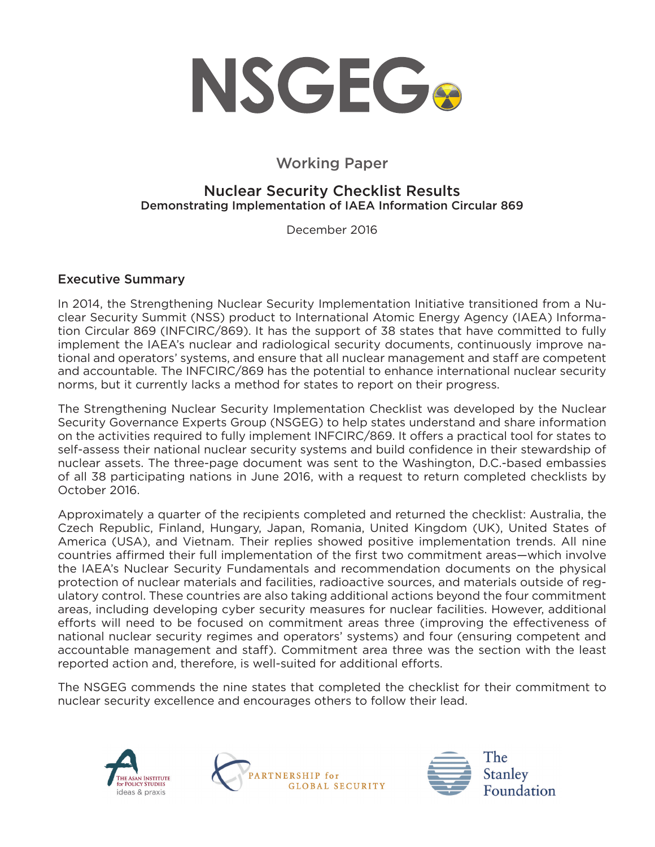

# Working Paper

## Nuclear Security Checklist Results Demonstrating Implementation of IAEA Information Circular 869

December 2016

### Executive Summary

In 2014, the Strengthening Nuclear Security Implementation Initiative transitioned from a Nuclear Security Summit (NSS) product to International Atomic Energy Agency (IAEA) Information Circular 869 (INFCIRC/869). It has the support of 38 states that have committed to fully implement the IAEA's nuclear and radiological security documents, continuously improve national and operators' systems, and ensure that all nuclear management and staff are competent and accountable. The INFCIRC/869 has the potential to enhance international nuclear security norms, but it currently lacks a method for states to report on their progress.

The Strengthening Nuclear Security Implementation Checklist was developed by the Nuclear Security Governance Experts Group (NSGEG) to help states understand and share information on the activities required to fully implement INFCIRC/869. It offers a practical tool for states to self-assess their national nuclear security systems and build confidence in their stewardship of nuclear assets. The three-page document was sent to the Washington, D.C.-based embassies of all 38 participating nations in June 2016, with a request to return completed checklists by October 2016.

Approximately a quarter of the recipients completed and returned the checklist: Australia, the Czech Republic, Finland, Hungary, Japan, Romania, United Kingdom (UK), United States of America (USA), and Vietnam. Their replies showed positive implementation trends. All nine countries affirmed their full implementation of the first two commitment areas—which involve the IAEA's Nuclear Security Fundamentals and recommendation documents on the physical protection of nuclear materials and facilities, radioactive sources, and materials outside of regulatory control. These countries are also taking additional actions beyond the four commitment areas, including developing cyber security measures for nuclear facilities. However, additional efforts will need to be focused on commitment areas three (improving the effectiveness of national nuclear security regimes and operators' systems) and four (ensuring competent and accountable management and staff). Commitment area three was the section with the least reported action and, therefore, is well-suited for additional efforts.

The NSGEG commends the nine states that completed the checklist for their commitment to nuclear security excellence and encourages others to follow their lead.





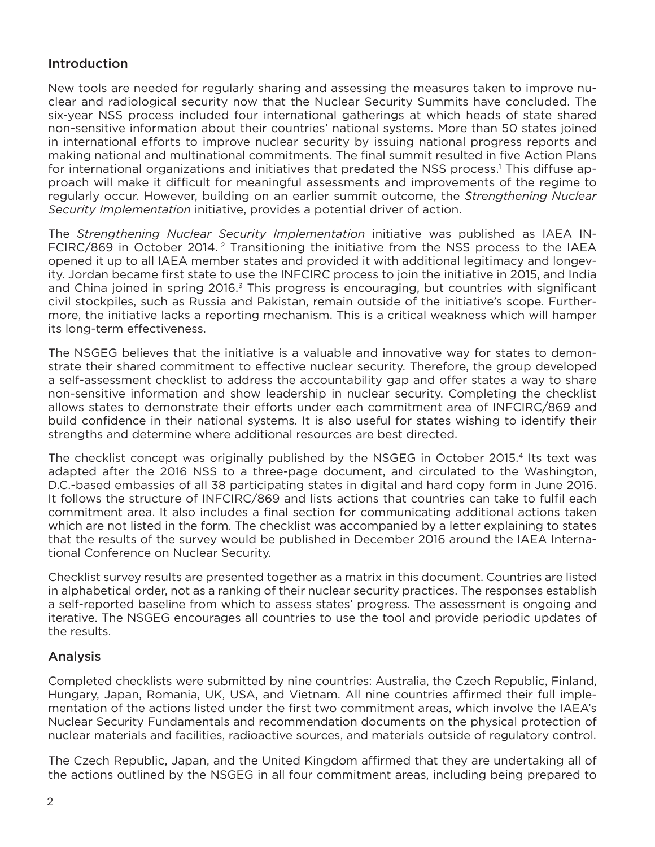## Introduction

New tools are needed for regularly sharing and assessing the measures taken to improve nuclear and radiological security now that the Nuclear Security Summits have concluded. The six-year NSS process included four international gatherings at which heads of state shared non-sensitive information about their countries' national systems. More than 50 states joined in international efforts to improve nuclear security by issuing national progress reports and making national and multinational commitments. The final summit resulted in five Action Plans for international organizations and initiatives that predated the NSS process.<sup>1</sup> This diffuse approach will make it difficult for meaningful assessments and improvements of the regime to regularly occur. However, building on an earlier summit outcome, the *Strengthening Nuclear Security Implementation* initiative, provides a potential driver of action.

The *Strengthening Nuclear Security Implementation* initiative was published as IAEA IN-FCIRC/869 in October 2014. 2 Transitioning the initiative from the NSS process to the IAEA opened it up to all IAEA member states and provided it with additional legitimacy and longevity. Jordan became first state to use the INFCIRC process to join the initiative in 2015, and India and China joined in spring 2016.<sup>3</sup> This progress is encouraging, but countries with significant civil stockpiles, such as Russia and Pakistan, remain outside of the initiative's scope. Furthermore, the initiative lacks a reporting mechanism. This is a critical weakness which will hamper its long-term effectiveness.

The NSGEG believes that the initiative is a valuable and innovative way for states to demonstrate their shared commitment to effective nuclear security. Therefore, the group developed a self-assessment checklist to address the accountability gap and offer states a way to share non-sensitive information and show leadership in nuclear security. Completing the checklist allows states to demonstrate their efforts under each commitment area of INFCIRC/869 and build confidence in their national systems. It is also useful for states wishing to identify their strengths and determine where additional resources are best directed.

The checklist concept was originally published by the NSGEG in October 2015.<sup>4</sup> Its text was adapted after the 2016 NSS to a three-page document, and circulated to the Washington, D.C.-based embassies of all 38 participating states in digital and hard copy form in June 2016. It follows the structure of INFCIRC/869 and lists actions that countries can take to fulfil each commitment area. It also includes a final section for communicating additional actions taken which are not listed in the form. The checklist was accompanied by a letter explaining to states that the results of the survey would be published in December 2016 around the IAEA International Conference on Nuclear Security.

Checklist survey results are presented together as a matrix in this document. Countries are listed in alphabetical order, not as a ranking of their nuclear security practices. The responses establish a self-reported baseline from which to assess states' progress. The assessment is ongoing and iterative. The NSGEG encourages all countries to use the tool and provide periodic updates of the results.

### Analysis

Completed checklists were submitted by nine countries: Australia, the Czech Republic, Finland, Hungary, Japan, Romania, UK, USA, and Vietnam. All nine countries affirmed their full implementation of the actions listed under the first two commitment areas, which involve the IAEA's Nuclear Security Fundamentals and recommendation documents on the physical protection of nuclear materials and facilities, radioactive sources, and materials outside of regulatory control.

The Czech Republic, Japan, and the United Kingdom affirmed that they are undertaking all of the actions outlined by the NSGEG in all four commitment areas, including being prepared to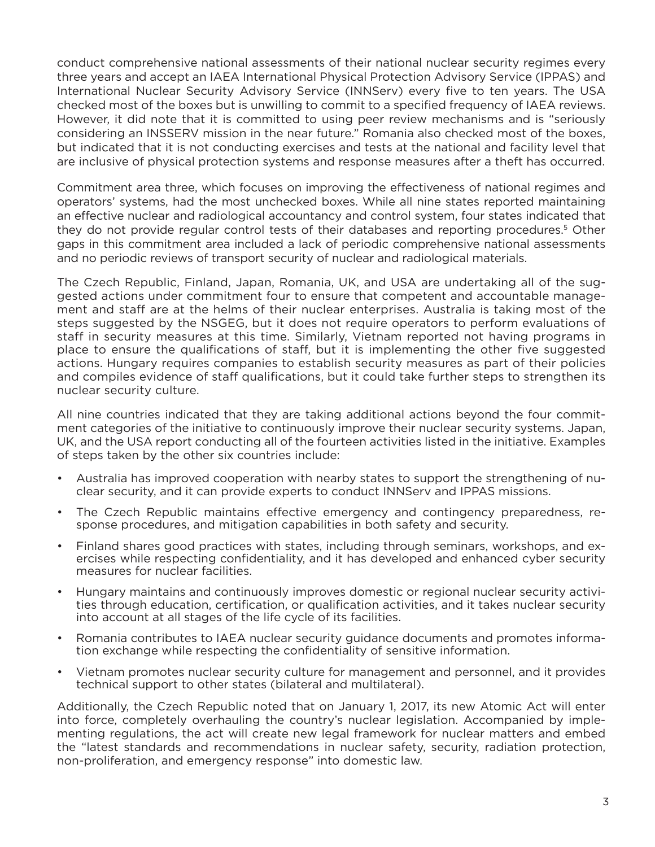conduct comprehensive national assessments of their national nuclear security regimes every three years and accept an IAEA International Physical Protection Advisory Service (IPPAS) and International Nuclear Security Advisory Service (INNServ) every five to ten years. The USA checked most of the boxes but is unwilling to commit to a specified frequency of IAEA reviews. However, it did note that it is committed to using peer review mechanisms and is "seriously considering an INSSERV mission in the near future." Romania also checked most of the boxes, but indicated that it is not conducting exercises and tests at the national and facility level that are inclusive of physical protection systems and response measures after a theft has occurred.

Commitment area three, which focuses on improving the effectiveness of national regimes and operators' systems, had the most unchecked boxes. While all nine states reported maintaining an effective nuclear and radiological accountancy and control system, four states indicated that they do not provide regular control tests of their databases and reporting procedures.5 Other gaps in this commitment area included a lack of periodic comprehensive national assessments and no periodic reviews of transport security of nuclear and radiological materials.

The Czech Republic, Finland, Japan, Romania, UK, and USA are undertaking all of the suggested actions under commitment four to ensure that competent and accountable management and staff are at the helms of their nuclear enterprises. Australia is taking most of the steps suggested by the NSGEG, but it does not require operators to perform evaluations of staff in security measures at this time. Similarly, Vietnam reported not having programs in place to ensure the qualifications of staff, but it is implementing the other five suggested actions. Hungary requires companies to establish security measures as part of their policies and compiles evidence of staff qualifications, but it could take further steps to strengthen its nuclear security culture.

All nine countries indicated that they are taking additional actions beyond the four commitment categories of the initiative to continuously improve their nuclear security systems. Japan, UK, and the USA report conducting all of the fourteen activities listed in the initiative. Examples of steps taken by the other six countries include:

- Australia has improved cooperation with nearby states to support the strengthening of nuclear security, and it can provide experts to conduct INNServ and IPPAS missions.
- The Czech Republic maintains effective emergency and contingency preparedness, response procedures, and mitigation capabilities in both safety and security.
- Finland shares good practices with states, including through seminars, workshops, and exercises while respecting confidentiality, and it has developed and enhanced cyber security measures for nuclear facilities.
- Hungary maintains and continuously improves domestic or regional nuclear security activities through education, certification, or qualification activities, and it takes nuclear security into account at all stages of the life cycle of its facilities.
- Romania contributes to IAEA nuclear security guidance documents and promotes information exchange while respecting the confidentiality of sensitive information.
- Vietnam promotes nuclear security culture for management and personnel, and it provides technical support to other states (bilateral and multilateral).

Additionally, the Czech Republic noted that on January 1, 2017, its new Atomic Act will enter into force, completely overhauling the country's nuclear legislation. Accompanied by implementing regulations, the act will create new legal framework for nuclear matters and embed the "latest standards and recommendations in nuclear safety, security, radiation protection, non-proliferation, and emergency response" into domestic law.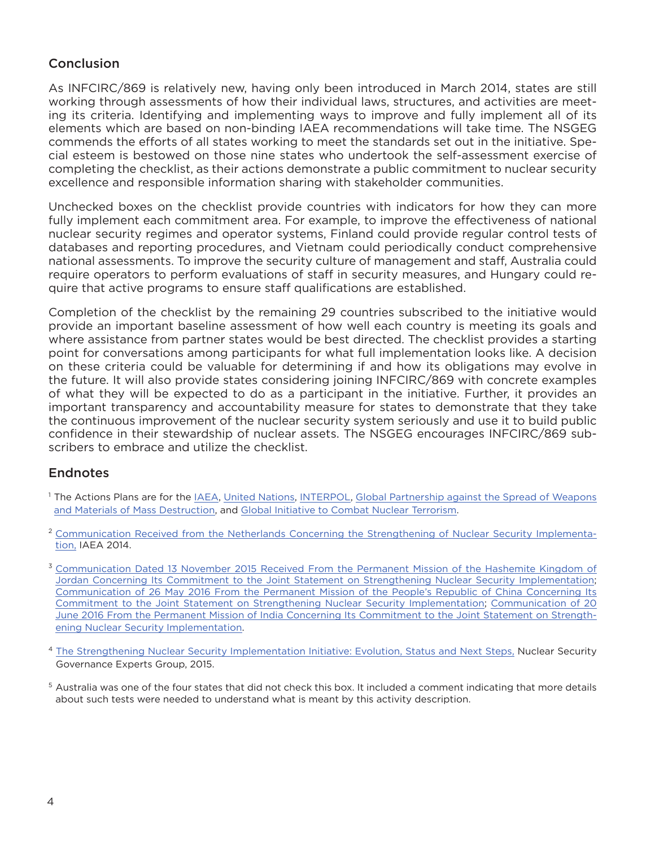## Conclusion

As INFCIRC/869 is relatively new, having only been introduced in March 2014, states are still working through assessments of how their individual laws, structures, and activities are meeting its criteria. Identifying and implementing ways to improve and fully implement all of its elements which are based on non-binding IAEA recommendations will take time. The NSGEG commends the efforts of all states working to meet the standards set out in the initiative. Special esteem is bestowed on those nine states who undertook the self-assessment exercise of completing the checklist, as their actions demonstrate a public commitment to nuclear security excellence and responsible information sharing with stakeholder communities.

Unchecked boxes on the checklist provide countries with indicators for how they can more fully implement each commitment area. For example, to improve the effectiveness of national nuclear security regimes and operator systems, Finland could provide regular control tests of databases and reporting procedures, and Vietnam could periodically conduct comprehensive national assessments. To improve the security culture of management and staff, Australia could require operators to perform evaluations of staff in security measures, and Hungary could require that active programs to ensure staff qualifications are established.

Completion of the checklist by the remaining 29 countries subscribed to the initiative would provide an important baseline assessment of how well each country is meeting its goals and where assistance from partner states would be best directed. The checklist provides a starting point for conversations among participants for what full implementation looks like. A decision on these criteria could be valuable for determining if and how its obligations may evolve in the future. It will also provide states considering joining INFCIRC/869 with concrete examples of what they will be expected to do as a participant in the initiative. Further, it provides an important transparency and accountability measure for states to demonstrate that they take the continuous improvement of the nuclear security system seriously and use it to build public confidence in their stewardship of nuclear assets. The NSGEG encourages INFCIRC/869 subscribers to embrace and utilize the checklist.

### **Endnotes**

- <sup>1</sup> The Actions Plans are for the [IAEA](https://pgstest.files.wordpress.com/2016/04/nss2016actionplan-iaea.pdf), [United Nations,](https://pgstest.files.wordpress.com/2016/04/nss2016actionplan-un.pdf) [INTERPOL](https://pgstest.files.wordpress.com/2016/04/nss2016actionplan-interpol.pdf), Global Partnership against the Spread of Weapons [and Materials of Mass Destruction,](https://pgstest.files.wordpress.com/2016/04/nss2016actionplan-gp.pdf) and [Global Initiative to Combat Nuclear Terrorism.](https://pgstest.files.wordpress.com/2016/04/nss2016actionplan-gicnt.pdf)
- <sup>2</sup> [Communication Received from the Netherlands Concerning the Strengthening of Nuclear Security Implementa](https://www.iaea.org/sites/default/files/publications/documents/infcircs/infcirc869.pdf)[tion,](https://www.iaea.org/sites/default/files/publications/documents/infcircs/infcirc869.pdf) IAEA 2014.
- <sup>3</sup> [Communication Dated 13 November 2015 Received From the Permanent Mission of the Hashemite Kingdom of](https://www.iaea.org/publications/documents/infcircs/communication-dated-13-november-2015-received-permanent-mission-hashemite-kingdom-jordan-concerning-its-commitment-joint-statement-strengthening-nuclear-security-implementation) [Jordan Concerning Its Commitment to the Joint Statement on Strengthening Nuclear Security Implementation;](https://www.iaea.org/publications/documents/infcircs/communication-dated-13-november-2015-received-permanent-mission-hashemite-kingdom-jordan-concerning-its-commitment-joint-statement-strengthening-nuclear-security-implementation) [Communication of 26 May 2016 From the Permanent Mission of the People's Republic of China Concerning Its](https://www.iaea.org/publications/documents/infcircs/communication-of-26-may-2016-from-the-permanent-mission-of-the-peoples-republic-of-china-concerning-its-commitment-to-the-joint-statement-on-strengthening-nuclear-security-implementation) [Commitment to the Joint Statement on Strengthening Nuclear Security Implementation;](https://www.iaea.org/publications/documents/infcircs/communication-of-26-may-2016-from-the-permanent-mission-of-the-peoples-republic-of-china-concerning-its-commitment-to-the-joint-statement-on-strengthening-nuclear-security-implementation) [Communication of 20](https://www.iaea.org/publications/documents/infcircs/communication-of-20-june-2016-from-the-permanent-mission-of-india-concerning-its-commitment-to-the-joint-statement-on-strengthening-nuclear-security-implementation)  [June 2016 From the Permanent Mission of India Concerning Its Commitment to the Joint Statement on Strength](https://www.iaea.org/publications/documents/infcircs/communication-of-20-june-2016-from-the-permanent-mission-of-india-concerning-its-commitment-to-the-joint-statement-on-strengthening-nuclear-security-implementation)[ening Nuclear Security Implementation](https://www.iaea.org/publications/documents/infcircs/communication-of-20-june-2016-from-the-permanent-mission-of-india-concerning-its-commitment-to-the-joint-statement-on-strengthening-nuclear-security-implementation).
- <sup>4</sup> [The Strengthening Nuclear Security Implementation Initiative: Evolution, Status and Next Steps,](http://www.nsgeg.org/TSF-StrenghteningNS1015.pdf) Nuclear Security Governance Experts Group, 2015.
- <sup>5</sup> Australia was one of the four states that did not check this box. It included a comment indicating that more details about such tests were needed to understand what is meant by this activity description.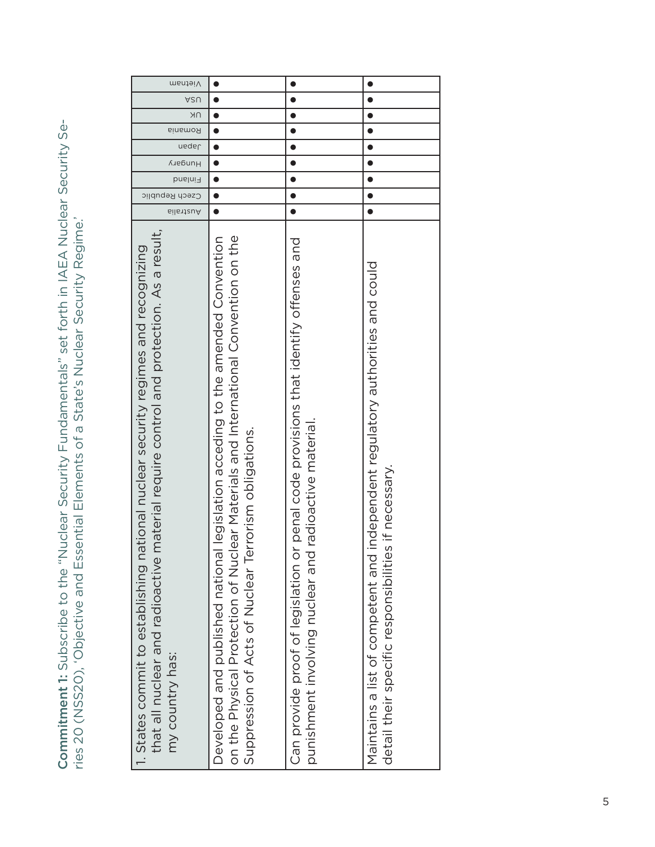Commitment 1: Subscribe to the "Nuclear Security Fundamentals" set forth in IAEA Nuclear Security Se-Commitment 1: Subscribe to the "Nuclear Security Fundamentals" set forth in IAEA Nuclear Security Series 20 (NSS20), 'Objective and Essential Elements of a State's Nuclear Security Regime.' ries 20 (NSS20), 'Objective and Essential Elements of a State's Nuclear Security Regime.'

| Vietnam                                                                                                                                                                                                 |                                                                                                                                                                                                                                     |                                                                                                                                                 |                                                                                                                                           |
|---------------------------------------------------------------------------------------------------------------------------------------------------------------------------------------------------------|-------------------------------------------------------------------------------------------------------------------------------------------------------------------------------------------------------------------------------------|-------------------------------------------------------------------------------------------------------------------------------------------------|-------------------------------------------------------------------------------------------------------------------------------------------|
| ASU                                                                                                                                                                                                     |                                                                                                                                                                                                                                     |                                                                                                                                                 |                                                                                                                                           |
| NΚ                                                                                                                                                                                                      |                                                                                                                                                                                                                                     |                                                                                                                                                 |                                                                                                                                           |
| Romania                                                                                                                                                                                                 |                                                                                                                                                                                                                                     |                                                                                                                                                 |                                                                                                                                           |
| <b>uedel</b>                                                                                                                                                                                            |                                                                                                                                                                                                                                     |                                                                                                                                                 |                                                                                                                                           |
| Hungary                                                                                                                                                                                                 |                                                                                                                                                                                                                                     |                                                                                                                                                 |                                                                                                                                           |
| Finland                                                                                                                                                                                                 |                                                                                                                                                                                                                                     |                                                                                                                                                 |                                                                                                                                           |
| Czech Republic                                                                                                                                                                                          |                                                                                                                                                                                                                                     |                                                                                                                                                 |                                                                                                                                           |
| ыilaาt≀uА                                                                                                                                                                                               |                                                                                                                                                                                                                                     |                                                                                                                                                 |                                                                                                                                           |
| material require control and protection. As a result,<br>ational nuclear security regimes and recognizing<br>1. States commit to establishing na<br>that all nuclear and radioactive<br>my country has: | ear Materials and International Convention on the<br>Developed and published national legislation acceding to the amended Convention<br>Suppression of Acts of Nuclear Terrorism obligations.<br>on the Physical Protection of Nucl | Can provide proof of legislation or penal code provisions that identify offenses and<br>radioactive materia<br>punishment involving nuclear and | independent regulatory authorities and could<br>detail their specific responsibilities if necessary.<br>Maintains a list of competent and |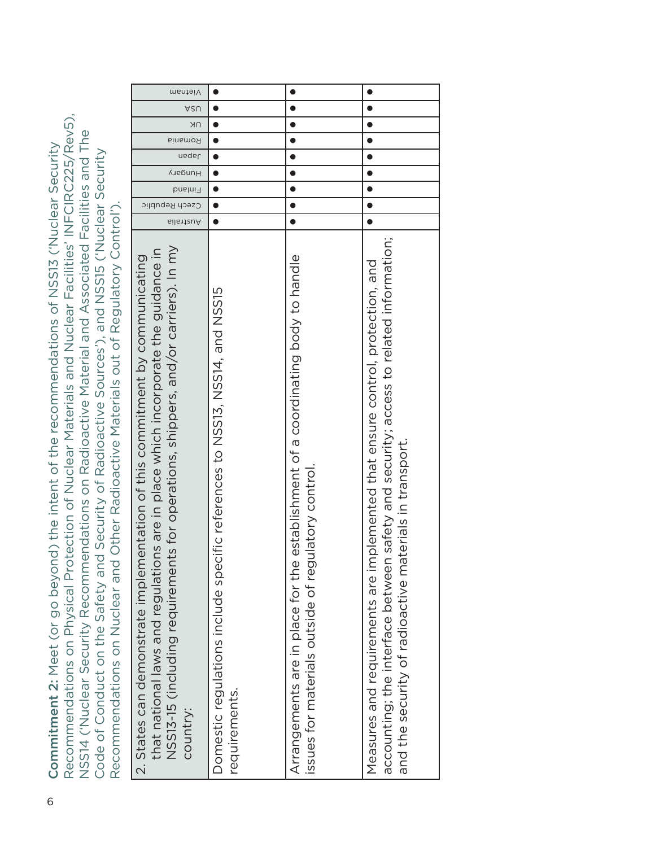Recommendations on Physical Protection of Nuclear Materials and Nuclear Facilities' INFCIRC225/Rev5), Recommendations on Physical Protection of Nuclear Materials and Nuclear Facilities' INFCIRC225/Rev5), NSS14 ('Nuclear Security Recommendations on Radioactive Material and Associated Facilities and The NSS14 ('Nuclear Security Recommendations on Radioactive Material and Associated Facilities and The 6 Commitment 2: Meet (or go beyond) the intent of the recommendations of NSS13 ('Nuclear Security Commitment 2: Meet (or go beyond) the intent of the recommendations of NSS13 ('Nuclear Security Code of Conduct on the Safety and Security of Radioactive Sources'), and NSS15 ('Nuclear Security Code of Conduct on the Safety and Security of Radioactive Sources'), and NSS15 ('Nuclear Security Recommendations on Nuclear and Other Radioactive Materials out of Regulatory Control'). Recommendations on Nuclear and Other Radioactive Materials out of Regulatory Control').

| Vietnam                                                                                                                                                                                                                                                             | Ñ                                                                                            | $\bullet$                                                                                                                                  | $\bullet$                                                                                                                                                                                                                          |
|---------------------------------------------------------------------------------------------------------------------------------------------------------------------------------------------------------------------------------------------------------------------|----------------------------------------------------------------------------------------------|--------------------------------------------------------------------------------------------------------------------------------------------|------------------------------------------------------------------------------------------------------------------------------------------------------------------------------------------------------------------------------------|
| ASU                                                                                                                                                                                                                                                                 | $\bullet$                                                                                    | $\bullet$                                                                                                                                  | $\bullet$                                                                                                                                                                                                                          |
| NΚ                                                                                                                                                                                                                                                                  |                                                                                              |                                                                                                                                            |                                                                                                                                                                                                                                    |
| Romania                                                                                                                                                                                                                                                             |                                                                                              | $\bullet$                                                                                                                                  | $\bullet$                                                                                                                                                                                                                          |
| <b>uedel</b>                                                                                                                                                                                                                                                        | $\bullet$                                                                                    | $\bullet$                                                                                                                                  | $\bullet$                                                                                                                                                                                                                          |
| Hungary                                                                                                                                                                                                                                                             | $\bullet$                                                                                    | $\bullet$                                                                                                                                  | $\bullet$                                                                                                                                                                                                                          |
| Finland                                                                                                                                                                                                                                                             |                                                                                              |                                                                                                                                            |                                                                                                                                                                                                                                    |
| Czech Republic                                                                                                                                                                                                                                                      |                                                                                              |                                                                                                                                            |                                                                                                                                                                                                                                    |
| 6il61tauA                                                                                                                                                                                                                                                           |                                                                                              | 0                                                                                                                                          |                                                                                                                                                                                                                                    |
| NSS13-15 (including requirements for operations, shippers, and/or carriers). In my<br>that national laws and regulations are in place which incorporate the guidance in<br>2. States can demonstrate implementation of this commitment by communicating<br>country: | Domestic regulations include specific references to NSS13, NSS14, and NSS15<br>requirements. | establishment of a coordinating body to handle<br>issues for materials outside of regulatory control.<br>Arrangements are in place for the | accounting; the interface between safety and security; access to related information;<br>Measures and requirements are implemented that ensure control, protection, and<br>and the security of radioactive materials in transport. |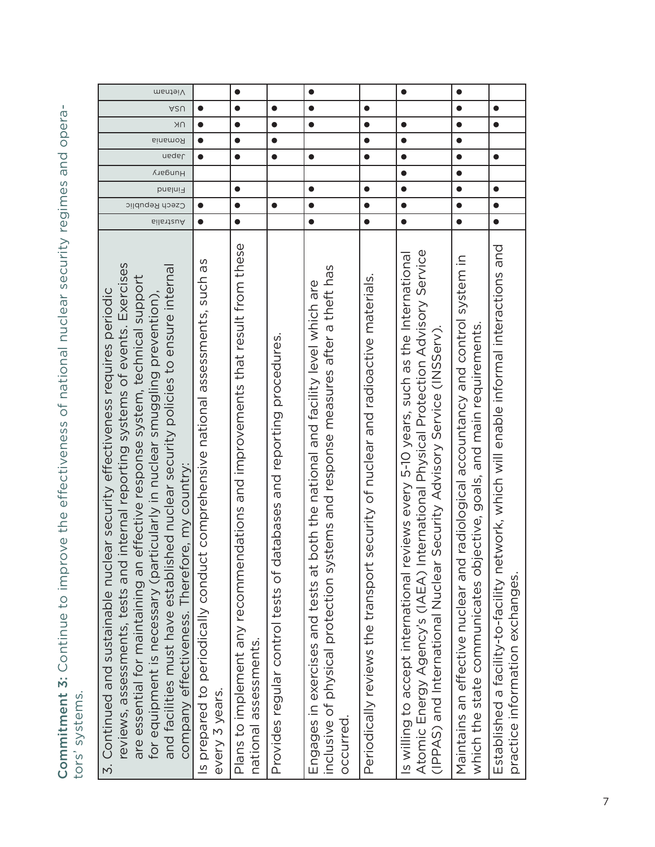Commitment 3: Continue to improve the effectiveness of national nuclear security regimes and opera-Commitment 3: Continue to improve the effectiveness of national nuclear security regimes and operators' systems. tors' systems.

| Wietnam                                                                                                                                                                                                                                                                                                                                                                                                                                                                         |                                                                                                   | $\bullet$                                                                                               |                                                                           | $\bullet$                                                                                                                                                                               |                                                                                      | $\bullet$                                                                                                                                                                                                                                               | $\bullet$                                                                                                                                                  |                                                                                                                            |
|---------------------------------------------------------------------------------------------------------------------------------------------------------------------------------------------------------------------------------------------------------------------------------------------------------------------------------------------------------------------------------------------------------------------------------------------------------------------------------|---------------------------------------------------------------------------------------------------|---------------------------------------------------------------------------------------------------------|---------------------------------------------------------------------------|-----------------------------------------------------------------------------------------------------------------------------------------------------------------------------------------|--------------------------------------------------------------------------------------|---------------------------------------------------------------------------------------------------------------------------------------------------------------------------------------------------------------------------------------------------------|------------------------------------------------------------------------------------------------------------------------------------------------------------|----------------------------------------------------------------------------------------------------------------------------|
| ASU                                                                                                                                                                                                                                                                                                                                                                                                                                                                             | $\bullet$                                                                                         | $\bullet$                                                                                               | $\bullet$                                                                 | $\bullet$                                                                                                                                                                               | $\bullet$                                                                            |                                                                                                                                                                                                                                                         | $\bullet$                                                                                                                                                  | $\bullet$                                                                                                                  |
| <b>NK</b>                                                                                                                                                                                                                                                                                                                                                                                                                                                                       | $\bullet$                                                                                         | $\bullet$                                                                                               | $\bullet$                                                                 | $\bullet$                                                                                                                                                                               | $\bullet$                                                                            | $\bullet$                                                                                                                                                                                                                                               | $\bullet$                                                                                                                                                  | $\bullet$                                                                                                                  |
| Romania                                                                                                                                                                                                                                                                                                                                                                                                                                                                         | $\bullet$                                                                                         | $\bullet$                                                                                               | $\bullet$                                                                 |                                                                                                                                                                                         | $\bullet$                                                                            | $\bullet$                                                                                                                                                                                                                                               | $\bullet$                                                                                                                                                  |                                                                                                                            |
| neqsl                                                                                                                                                                                                                                                                                                                                                                                                                                                                           | $\bullet$                                                                                         | $\bullet$                                                                                               | $\bullet$                                                                 | $\bullet$                                                                                                                                                                               | $\bullet$                                                                            | $\bullet$                                                                                                                                                                                                                                               | $\bullet$                                                                                                                                                  | $\bullet$                                                                                                                  |
| <b>AuebunH</b>                                                                                                                                                                                                                                                                                                                                                                                                                                                                  |                                                                                                   |                                                                                                         |                                                                           |                                                                                                                                                                                         |                                                                                      | $\bullet$                                                                                                                                                                                                                                               | $\bullet$                                                                                                                                                  |                                                                                                                            |
| Finland                                                                                                                                                                                                                                                                                                                                                                                                                                                                         |                                                                                                   | $\bullet$                                                                                               |                                                                           | $\bullet$                                                                                                                                                                               | $\bullet$                                                                            | $\bullet$                                                                                                                                                                                                                                               | $\bullet$                                                                                                                                                  | $\bullet$                                                                                                                  |
| Czech Republic                                                                                                                                                                                                                                                                                                                                                                                                                                                                  |                                                                                                   | $\bullet$                                                                                               | $\bullet$                                                                 | $\bullet$                                                                                                                                                                               | $\bullet$                                                                            | $\bullet$                                                                                                                                                                                                                                               | $\bullet$                                                                                                                                                  | $\bullet$                                                                                                                  |
| ⊾iliastelia                                                                                                                                                                                                                                                                                                                                                                                                                                                                     | $\bullet$                                                                                         | $\bullet$                                                                                               |                                                                           | $\bullet$                                                                                                                                                                               | $\bullet$                                                                            | $\bullet$                                                                                                                                                                                                                                               | $\bullet$                                                                                                                                                  | $\bullet$                                                                                                                  |
| internal reporting systems of events. Exercises<br>and facilities must have established nuclear security policies to ensure internal<br>effective response system, technical support<br>ear security effectiveness requires periodic<br>for equipment is necessary (particularly in nuclear smuggling prevention),<br>company effectiveness. Therefore, my country:<br>reviews, assessments, tests and<br>are essential for maintaining an<br>3. Continued and sustainable nucl | Is prepared to periodically conduct comprehensive national assessments, such as<br>every 3 years. | Plans to implement any recommendations and improvements that result from these<br>national assessments. | atabases and reporting procedures.<br>Provides regular control tests of a | stems and response measures after a theft has<br>both the national and facility level which are<br>inclusive of physical protection sy<br>Engages in exercises and tests at<br>occurred | security of nuclear and radioactive materials.<br>Periodically reviews the transport | Atomic Energy Agency's (IAEA) International Physical Protection Advisory Service<br>Is willing to accept international reviews every 5-10 years, such as the International<br>Security Advisory Service (INSServ).<br>(IPPAS) and International Nuclear | Maintains an effective nuclear and radiological accountancy and control system in<br>which the state communicates objective, goals, and main requirements. | Established a facility-to-facility network, which will enable informal interactions and<br>practice information exchanges. |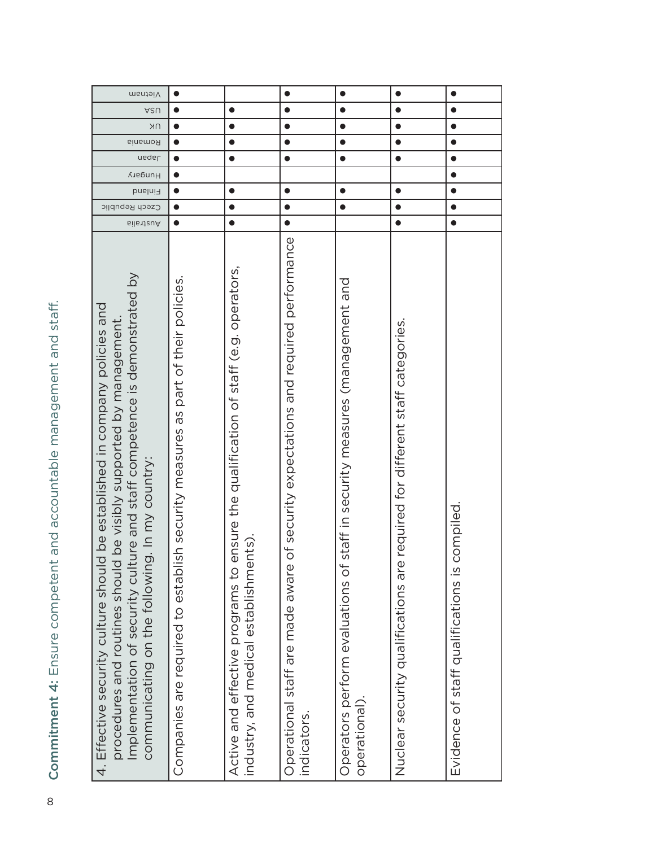| Mietnam                                                                                                                                                                                                                                                                           |                                                                                     |                                                                                                                                       | $\bullet$                                                                                            | $\bullet$                                                                                       | $\bullet$                                                                       | $\bullet$                                        |
|-----------------------------------------------------------------------------------------------------------------------------------------------------------------------------------------------------------------------------------------------------------------------------------|-------------------------------------------------------------------------------------|---------------------------------------------------------------------------------------------------------------------------------------|------------------------------------------------------------------------------------------------------|-------------------------------------------------------------------------------------------------|---------------------------------------------------------------------------------|--------------------------------------------------|
| ASU                                                                                                                                                                                                                                                                               | $\bullet$                                                                           | $\bullet$                                                                                                                             | $\bullet$                                                                                            | $\bullet$                                                                                       | $\bullet$                                                                       | $\bullet$                                        |
| NΚ                                                                                                                                                                                                                                                                                | $\bullet$                                                                           | $\bullet$                                                                                                                             | $\bullet$                                                                                            | $\bullet$                                                                                       | $\bullet$                                                                       | $\bullet$                                        |
| Romania                                                                                                                                                                                                                                                                           | $\bullet$                                                                           | $\bullet$                                                                                                                             | $\bullet$                                                                                            | $\bullet$                                                                                       | $\bullet$                                                                       | $\bullet$                                        |
| <b>uedel</b>                                                                                                                                                                                                                                                                      | $\bullet$                                                                           | $\bullet$                                                                                                                             | $\bullet$                                                                                            | $\bullet$                                                                                       | $\bullet$                                                                       | $\bullet$                                        |
| Hungary                                                                                                                                                                                                                                                                           | $\bullet$                                                                           |                                                                                                                                       |                                                                                                      |                                                                                                 |                                                                                 | $\bullet$                                        |
| Finland                                                                                                                                                                                                                                                                           | $\bullet$                                                                           | $\bullet$                                                                                                                             | $\bullet$                                                                                            | $\bullet$                                                                                       | $\bullet$                                                                       |                                                  |
| Czech Republic                                                                                                                                                                                                                                                                    | $\bullet$                                                                           | $\bullet$                                                                                                                             | $\bullet$                                                                                            | $\bullet$                                                                                       | $\bullet$                                                                       | $\bullet$                                        |
| Australia                                                                                                                                                                                                                                                                         | $\bullet$                                                                           | $\bullet$                                                                                                                             | $\bullet$                                                                                            |                                                                                                 | $\bullet$                                                                       | $\bullet$                                        |
| Implementation of security culture and staff competence is demonstrated by<br>4. Effective security culture should be established in company policies and<br>procedures and routines should be visibly supported by management.<br>communicating on the following. In my country: | part of their policies.<br>Companies are required to establish security measures as | ensure the qualification of staff (e.g. operators,<br>ents).<br>industry, and medical establishme<br>Active and effective programs to | of security expectations and required performance<br>Operational staff are made aware<br>indicators. | staff in security measures (management and<br>Operators perform evaluations of<br>operational). | required for different staff categories.<br>Nuclear security qualifications are | compiled.<br>Evidence of staff qualifications is |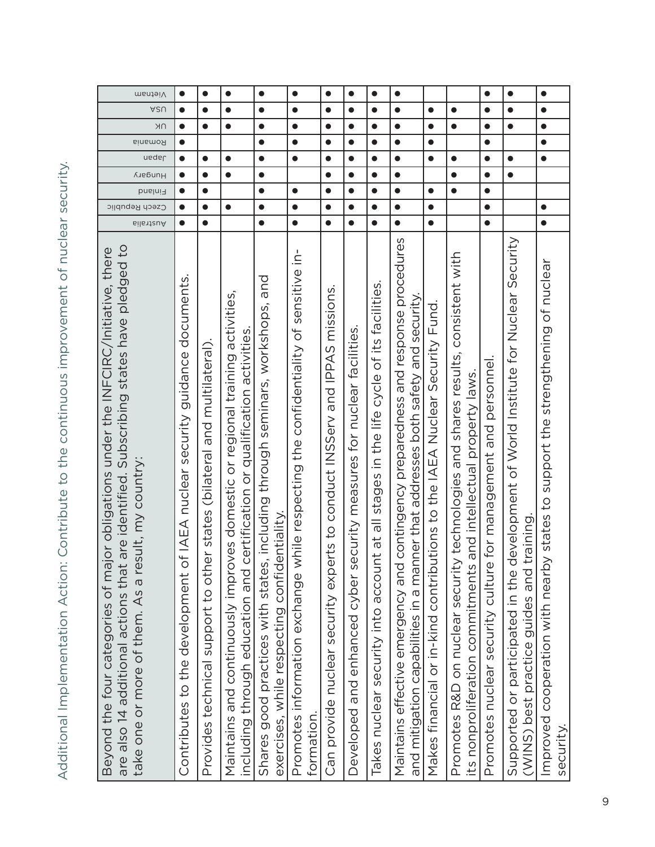| Promotes information exchange while respecting the confidentiality of sensitive in-  | $\bullet$<br>$\bullet$<br>$\bullet$<br>$\bullet$<br>$\bullet$ | $\bullet$<br>$\bullet$<br>$\bullet$<br>$\bullet$<br>$\bullet$<br>$\bullet$<br>$\bullet$ | $\bullet$<br>$\bullet$<br>$\bullet$<br>$\bullet$<br>$\bullet$<br>$\bullet$<br>$\bullet$<br>$\bullet$<br>$\bullet$ | $\bullet$<br>$\bullet$<br>$\bullet$<br>$\bullet$<br>$\bullet$<br>$\bullet$<br>$\bullet$<br>$\bullet$ | $\bullet$<br>$\bullet$<br>$\bullet$<br>$\bullet$              | $\bullet$<br>$\bullet$<br>$\bullet$<br>$\bullet$<br>$\bullet$<br>$\bullet$ | $\bullet$<br>$\bullet$<br>$\bullet$<br>$\bullet$<br>$\bullet$<br>$\bullet$ | $\bullet$<br>$\bullet$<br>$\bullet$<br>$\bullet$ |
|--------------------------------------------------------------------------------------|---------------------------------------------------------------|-----------------------------------------------------------------------------------------|-------------------------------------------------------------------------------------------------------------------|------------------------------------------------------------------------------------------------------|---------------------------------------------------------------|----------------------------------------------------------------------------|----------------------------------------------------------------------------|--------------------------------------------------|
|                                                                                      |                                                               |                                                                                         |                                                                                                                   |                                                                                                      |                                                               |                                                                            |                                                                            |                                                  |
|                                                                                      |                                                               |                                                                                         |                                                                                                                   |                                                                                                      |                                                               |                                                                            |                                                                            |                                                  |
|                                                                                      |                                                               |                                                                                         |                                                                                                                   |                                                                                                      |                                                               |                                                                            |                                                                            |                                                  |
|                                                                                      |                                                               |                                                                                         |                                                                                                                   |                                                                                                      |                                                               |                                                                            |                                                                            |                                                  |
|                                                                                      |                                                               |                                                                                         |                                                                                                                   |                                                                                                      |                                                               |                                                                            |                                                                            | $\bullet$                                        |
|                                                                                      |                                                               |                                                                                         |                                                                                                                   |                                                                                                      |                                                               |                                                                            |                                                                            | $\bullet$                                        |
|                                                                                      |                                                               |                                                                                         |                                                                                                                   |                                                                                                      |                                                               |                                                                            | $\bullet$                                                                  | $\bullet$                                        |
|                                                                                      |                                                               |                                                                                         |                                                                                                                   |                                                                                                      | $\bullet$                                                     | $\bullet$                                                                  | $\bullet$                                                                  | $\bullet$                                        |
| contingency preparedness and response procedures                                     |                                                               |                                                                                         |                                                                                                                   |                                                                                                      | $\bullet$                                                     | $\bullet$                                                                  | $\bullet$                                                                  | $\bullet$                                        |
|                                                                                      |                                                               | $\bullet$                                                                               |                                                                                                                   | $\bullet$                                                                                            | $\bullet$                                                     | $\bullet$                                                                  | $\bullet$                                                                  |                                                  |
| Promotes R&D on nuclear security technologies and shares results, consistent with    |                                                               |                                                                                         |                                                                                                                   | $\bullet$                                                                                            |                                                               | $\bullet$                                                                  | $\bullet$                                                                  |                                                  |
|                                                                                      |                                                               |                                                                                         |                                                                                                                   | $\bullet$                                                                                            | $\bullet$                                                     | $\bullet$                                                                  | $\bullet$                                                                  | $\bullet$                                        |
| Supported or participated in the development of World Institute for Nuclear Security |                                                               |                                                                                         |                                                                                                                   | $\bullet$                                                                                            |                                                               | $\bullet$                                                                  | $\bullet$                                                                  | $\bullet$                                        |
|                                                                                      |                                                               | $\bullet$                                                                               |                                                                                                                   | $\bullet$                                                                                            | $\bullet$                                                     | $\bullet$                                                                  | $\bullet$                                                                  | $\bullet$                                        |
|                                                                                      |                                                               | $\bullet$<br>$\bullet$<br>$\bullet$<br>$\bullet$<br>$\bullet$                           | $\bullet$<br>$\bullet$                                                                                            | $\bullet$<br>$\bullet$<br>$\bullet$<br>$\bullet$<br>$\bullet$<br>$\bullet$                           | $\bullet$<br>$\bullet$<br>$\bullet$<br>$\bullet$<br>$\bullet$ | $\bullet$<br>$\bullet$                                                     | $\bullet$<br>$\bullet$<br>$\bullet$<br>$\bullet$<br>$\bullet$              |                                                  |